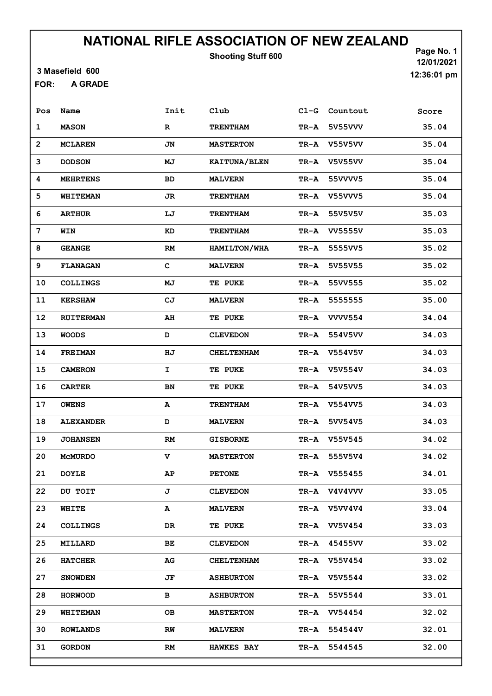Shooting Stuff 600

3 Masefield 600

A GRADE FOR:

Page No. 1 12/01/2021 12:36:01 pm

| Pos            | Name             | Init         | Club              | $C1-G$ | Countout       | Score |
|----------------|------------------|--------------|-------------------|--------|----------------|-------|
| $\mathbf 1$    | <b>MASON</b>     | $\mathbb{R}$ | <b>TRENTHAM</b>   | TR-A   | 5V55VVV        | 35.04 |
| $\overline{2}$ | <b>MCLAREN</b>   | JN           | <b>MASTERTON</b>  | TR-A   | <b>V55V5VV</b> | 35.04 |
| 3              | <b>DODSON</b>    | MJ           | KAITUNA/BLEN      | TR-A   | <b>V5V55VV</b> | 35.04 |
| 4              | <b>MEHRTENS</b>  | BD           | <b>MALVERN</b>    | TR-A   | 55VVVV5        | 35.04 |
| 5              | WHITEMAN         | JR           | <b>TRENTHAM</b>   | TR-A   | V55VVV5        | 35.04 |
| 6              | <b>ARTHUR</b>    | LJ           | <b>TRENTHAM</b>   | TR-A   | 55V5V5V        | 35.03 |
| 7              | WIN              | KD           | <b>TRENTHAM</b>   | TR-A   | <b>VV5555V</b> | 35.03 |
| 8              | <b>GEANGE</b>    | RM           | HAMILTON/WHA      | TR-A   | 5555VV5        | 35.02 |
| 9              | <b>FLANAGAN</b>  | $\mathbf C$  | <b>MALVERN</b>    | TR-A   | 5V55V55        | 35.02 |
| 10             | <b>COLLINGS</b>  | МJ           | TE PUKE           | TR-A   | 55VV555        | 35.02 |
| 11             | <b>KERSHAW</b>   | CJ           | <b>MALVERN</b>    | TR-A   | 5555555        | 35.00 |
| 12             | <b>RUITERMAN</b> | AH           | TE PUKE           | TR-A   | <b>VVVV554</b> | 34.04 |
| 13             | <b>WOODS</b>     | D            | <b>CLEVEDON</b>   | TR-A   | 554V5VV        | 34.03 |
| 14             | <b>FREIMAN</b>   | HJ           | <b>CHELTENHAM</b> | TR-A   | V554V5V        | 34.03 |
| 15             | <b>CAMERON</b>   | I            | TE PUKE           | TR-A   | <b>V5V554V</b> | 34.03 |
| 16             | <b>CARTER</b>    | BN           | <b>TE PUKE</b>    | TR-A   | 54V5VV5        | 34.03 |
| 17             | <b>OWENS</b>     | А            | <b>TRENTHAM</b>   | TR-A   | V554VV5        | 34.03 |
| 18             | <b>ALEXANDER</b> | $\mathbf D$  | <b>MALVERN</b>    | TR-A   | 5VV54V5        | 34.03 |
| 19             | <b>JOHANSEN</b>  | RM           | <b>GISBORNE</b>   | TR-A   | V55V545        | 34.02 |
| 20             | <b>MCMURDO</b>   | v            | <b>MASTERTON</b>  | TR-A   | 555V5V4        | 34.02 |
| 21             | <b>DOYLE</b>     | AP           | <b>PETONE</b>     | TR-A   | V555455        | 34.01 |
| 22             | DU TOIT          | J            | <b>CLEVEDON</b>   | TR-A   | V4V4VVV        | 33.05 |
| 23             | WHITE            | A            | <b>MALVERN</b>    | TR-A   | <b>V5VV4V4</b> | 33.04 |
| 24             | <b>COLLINGS</b>  | DR           | TE PUKE           | TR-A   | <b>VV5V454</b> | 33.03 |
| 25             | <b>MILLARD</b>   | BЕ           | <b>CLEVEDON</b>   | TR-A   | 45455VV        | 33.02 |
| 26             | <b>HATCHER</b>   | AG           | <b>CHELTENHAM</b> | TR-A   | <b>V55V454</b> | 33.02 |
| 27             | <b>SNOWDEN</b>   | JF           | <b>ASHBURTON</b>  | TR-A   | V5V5544        | 33.02 |
| 28             | <b>HORWOOD</b>   | в            | <b>ASHBURTON</b>  | TR-A   | 55V5544        | 33.01 |
| 29             | <b>WHITEMAN</b>  | OВ           | <b>MASTERTON</b>  | TR-A   | VV54454        | 32.02 |
| 30             | <b>ROWLANDS</b>  | RW           | <b>MALVERN</b>    | TR-A   | 554544V        | 32.01 |
| 31             | <b>GORDON</b>    | RM           | <b>HAWKES BAY</b> | TR-A   | 5544545        | 32.00 |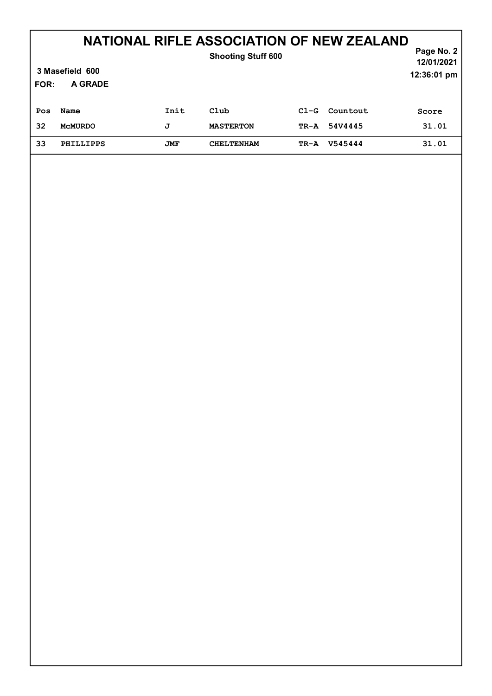| 3 Masefield 600<br>A GRADE<br>FOR: |                  |      | <b>Shooting Stuff 600</b> |        |          | Page No. 2<br>12/01/2021<br>12:36:01 pm |
|------------------------------------|------------------|------|---------------------------|--------|----------|-----------------------------------------|
| Pos                                | Name             | Init | Club                      | $C1-G$ | Countout | Score                                   |
| 32                                 | <b>MCMURDO</b>   | J    | <b>MASTERTON</b>          | TR-A   | 54V4445  | 31.01                                   |
| 33                                 | <b>PHILLIPPS</b> | JMF  | <b>CHELTENHAM</b>         | TR-A   | V545444  | 31.01                                   |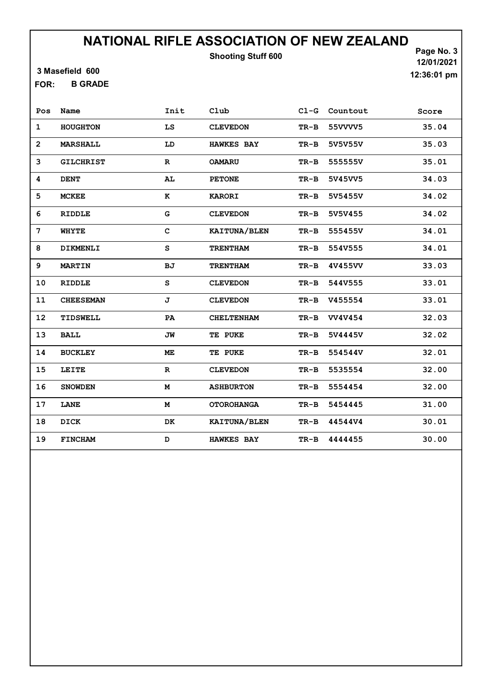Shooting Stuff 600

3 Masefield 600

B GRADE FOR:

Page No. 3 12/01/2021 12:36:01 pm

| Pos            | Name             | Init        | Club              | $C1-G$ | Countout       | Score |
|----------------|------------------|-------------|-------------------|--------|----------------|-------|
| $\mathbf{1}$   | <b>HOUGHTON</b>  | LS          | <b>CLEVEDON</b>   | $TR-B$ | 55VVVV5        | 35.04 |
| $\overline{2}$ | <b>MARSHALL</b>  | LD          | <b>HAWKES BAY</b> | $TR-B$ | 5V5V55V        | 35.03 |
| 3              | <b>GILCHRIST</b> | $\mathbf R$ | <b>OAMARU</b>     | $TR-B$ | 555555V        | 35.01 |
| 4              | <b>DENT</b>      | AL          | <b>PETONE</b>     | $TR-B$ | 5V45VV5        | 34.03 |
| 5              | <b>MCKEE</b>     | ĸ           | <b>KARORI</b>     | $TR-B$ | 5V5455V        | 34.02 |
| 6              | RIDDLE           | G           | <b>CLEVEDON</b>   | $TR-B$ | 5V5V455        | 34.02 |
| 7              | <b>WHYTE</b>     | $\mathbf C$ | KAITUNA/BLEN      | $TR-B$ | 555455V        | 34.01 |
| 8              | DIKMENLI         | S           | <b>TRENTHAM</b>   | $TR-B$ | 554V555        | 34.01 |
| 9              | <b>MARTIN</b>    | BJ          | <b>TRENTHAM</b>   | $TR-B$ | 4V455VV        | 33.03 |
| 10             | <b>RIDDLE</b>    | S           | <b>CLEVEDON</b>   | $TR-B$ | 544V555        | 33.01 |
| 11             | <b>CHEESEMAN</b> | J           | <b>CLEVEDON</b>   | $TR-B$ | V455554        | 33.01 |
| 12             | TIDSWELL         | PA          | <b>CHELTENHAM</b> | $TR-B$ | <b>VV4V454</b> | 32.03 |
| 13             | <b>BALL</b>      | JW          | TE PUKE           | $TR-B$ | 5V4445V        | 32.02 |
| 14             | <b>BUCKLEY</b>   | ME          | TE PUKE           | $TR-B$ | 554544V        | 32.01 |
| 15             | LEITE            | $\mathbf R$ | <b>CLEVEDON</b>   | $TR-B$ | 5535554        | 32.00 |
| 16             | <b>SNOWDEN</b>   | M           | <b>ASHBURTON</b>  | $TR-B$ | 5554454        | 32.00 |
| 17             | LANE             | M           | <b>OTOROHANGA</b> | $TR-B$ | 5454445        | 31.00 |
| 18             | DICK             | DK          | KAITUNA/BLEN      | $TR-B$ | 44544V4        | 30.01 |
| 19             | <b>FINCHAM</b>   | D           | <b>HAWKES BAY</b> | $TR-B$ | 4444455        | 30.00 |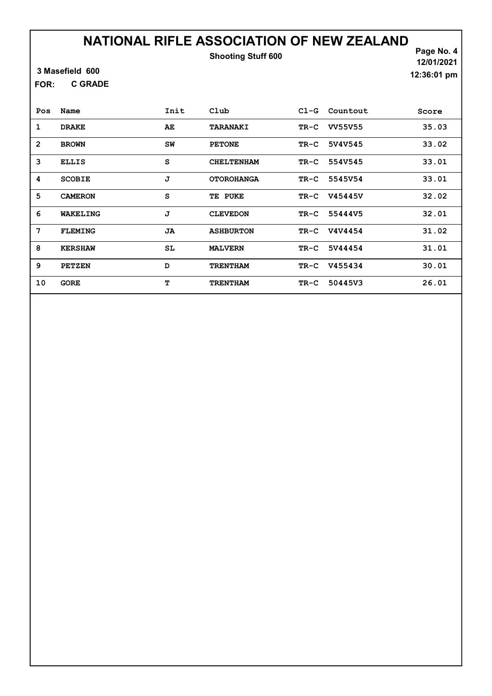Shooting Stuff 600

3 Masefield 600

C GRADE FOR:

Page No. 4 12/01/2021 12:36:01 pm

| Pos            | Name           | Init | Club              | $C1-G$ | Countout       | Score |
|----------------|----------------|------|-------------------|--------|----------------|-------|
| 1              | <b>DRAKE</b>   | AE   | TARANAKI          | TR-C   | <b>VV55V55</b> | 35.03 |
| $\overline{2}$ | <b>BROWN</b>   | SW   | <b>PETONE</b>     | TR-C   | 5V4V545        | 33.02 |
| 3              | <b>ELLIS</b>   | s    | <b>CHELTENHAM</b> | TR-C   | 554V545        | 33.01 |
| 4              | <b>SCOBIE</b>  | J    | <b>OTOROHANGA</b> | $TR-C$ | 5545V54        | 33.01 |
| 5              | <b>CAMERON</b> | s    | TE PUKE           | TR-C   | <b>V45445V</b> | 32.02 |
| 6              | WAKELING       | J    | <b>CLEVEDON</b>   | TR-C   | 55444V5        | 32.01 |
| 7              | <b>FLEMING</b> | JA   | <b>ASHBURTON</b>  | TR-C   | V4V4454        | 31.02 |
| 8              | <b>KERSHAW</b> | SL   | <b>MALVERN</b>    | TR-C   | 5V44454        | 31.01 |
| 9              | <b>PETZEN</b>  | D    | <b>TRENTHAM</b>   | $TR-C$ | V455434        | 30.01 |
| 10             | <b>GORE</b>    | т    | <b>TRENTHAM</b>   | $TR-C$ | 50445V3        | 26.01 |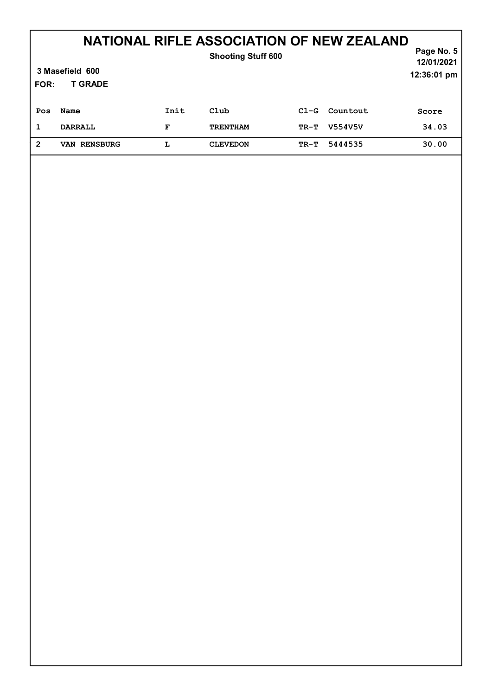| 3 Masefield 600<br><b>T GRADE</b><br><b>FOR:</b> |                     |      | <b>Shooting Stuff 600</b> |        |          | Page No. $5$<br>12/01/2021<br>12:36:01 pm |
|--------------------------------------------------|---------------------|------|---------------------------|--------|----------|-------------------------------------------|
| Pos                                              | Name                | Init | Club                      | $C1-G$ | Countout | Score                                     |
| 1                                                | <b>DARRALL</b>      | F    | <b>TRENTHAM</b>           | TR-T   | V554V5V  | 34.03                                     |
| $\overline{2}$                                   | <b>VAN RENSBURG</b> | L    | <b>CLEVEDON</b>           | TR-T   | 5444535  | 30.00                                     |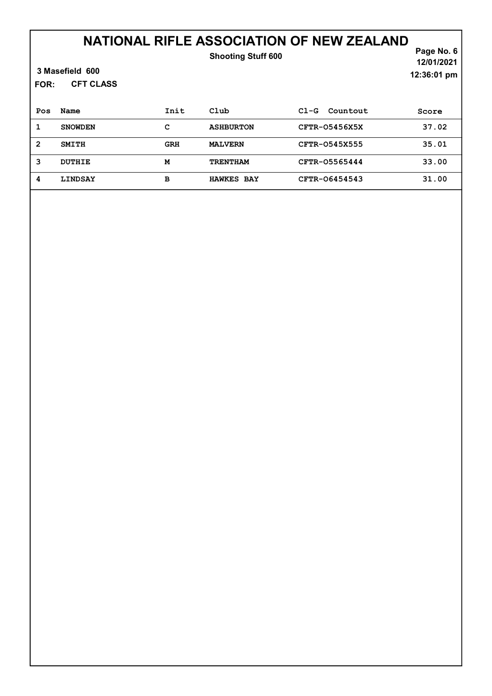### NATIONAL RIFLE ASSOCIATION OF NEW ZEALAND Shooting Stuff 600

| 3 Masefield 600 |
|-----------------|
|-----------------|

CFT CLASS FOR:

Page No. 6 12/01/2021 12:36:01 pm

| Pos | Name           | Init       | Club              | Countout<br>$CL-G$ | Score |
|-----|----------------|------------|-------------------|--------------------|-------|
|     | <b>SNOWDEN</b> | с          | <b>ASHBURTON</b>  | CFTR-05456X5X      | 37.02 |
| 2   | <b>SMITH</b>   | <b>GRH</b> | <b>MALVERN</b>    | CFTR-0545X555      | 35.01 |
| 3   | DUTHIE         | м          | <b>TRENTHAM</b>   | CFTR-05565444      | 33.00 |
| 4   | <b>LINDSAY</b> | в          | <b>HAWKES BAY</b> | CFTR-06454543      | 31.00 |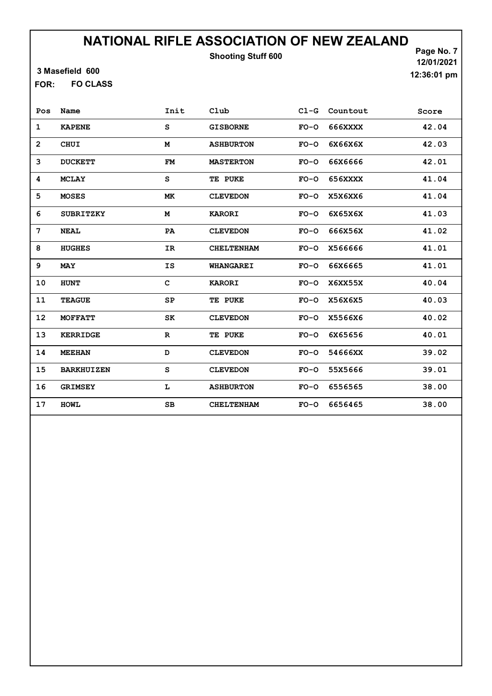Shooting Stuff 600

3 Masefield 600

FO CLASS FOR:

Page No. 7 12/01/2021 12:36:01 pm

| Pos            | Name              | Init         | Club              |        | Cl-G Countout | Score |
|----------------|-------------------|--------------|-------------------|--------|---------------|-------|
| 1              | <b>KAPENE</b>     | s            | <b>GISBORNE</b>   | $FO-O$ | 666XXXX       | 42.04 |
| $\overline{2}$ | <b>CHUI</b>       | M            | <b>ASHBURTON</b>  | $FO-O$ | 6X66X6X       | 42.03 |
| 3              | <b>DUCKETT</b>    | <b>FM</b>    | <b>MASTERTON</b>  | $FO-O$ | 66X6666       | 42.01 |
| 4              | <b>MCLAY</b>      | S            | TE PUKE           | $FO-O$ | 656XXXX       | 41.04 |
| 5              | <b>MOSES</b>      | МK           | <b>CLEVEDON</b>   | $FO-O$ | X5X6XX6       | 41.04 |
| 6              | <b>SUBRITZKY</b>  | м            | <b>KARORI</b>     | $FO-O$ | 6X65X6X       | 41.03 |
| 7              | <b>NEAL</b>       | PA           | <b>CLEVEDON</b>   | $FO-O$ | 666X56X       | 41.02 |
| 8              | <b>HUGHES</b>     | IR           | <b>CHELTENHAM</b> | $FO-O$ | X566666       | 41.01 |
| 9              | <b>MAY</b>        | IS           | <b>WHANGAREI</b>  | $FO-O$ | 66X6665       | 41.01 |
| 10             | <b>HUNT</b>       | $\mathbf{C}$ | <b>KARORI</b>     | $FO-O$ | X6XX55X       | 40.04 |
| 11             | <b>TEAGUE</b>     | SP           | TE PUKE           | $FO-O$ | X56X6X5       | 40.03 |
| 12             | <b>MOFFATT</b>    | SK           | <b>CLEVEDON</b>   | $FO-O$ | X5566X6       | 40.02 |
| 13             | <b>KERRIDGE</b>   | $\mathbf R$  | TE PUKE           | $FO-O$ | 6X65656       | 40.01 |
| 14             | <b>MEEHAN</b>     | D            | <b>CLEVEDON</b>   | $FO-O$ | 54666XX       | 39.02 |
| 15             | <b>BARKHUIZEN</b> | S            | <b>CLEVEDON</b>   | $FO-O$ | 55X5666       | 39.01 |
| 16             | <b>GRIMSEY</b>    | L            | <b>ASHBURTON</b>  | $FO-O$ | 6556565       | 38.00 |
| 17             | <b>HOMT</b>       | SВ           | <b>CHELTENHAM</b> | $FO-O$ | 6656465       | 38.00 |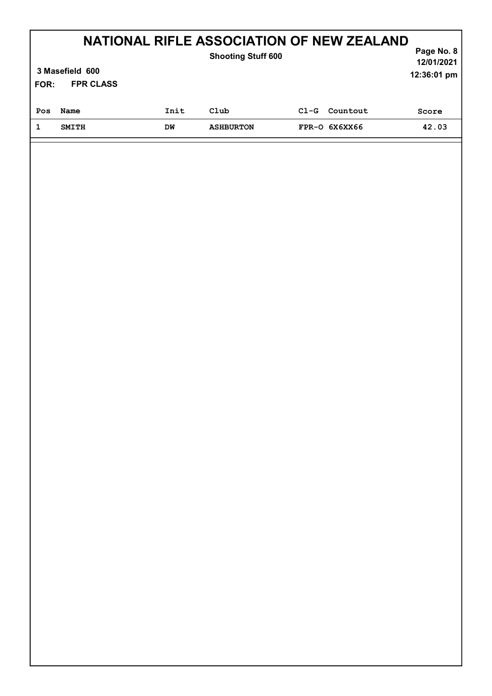| FOR: | 3 Masefield 600<br><b>FPR CLASS</b> |      | NATIONAL RIFLE ASSOCIATION OF NEW ZEALAND<br><b>Shooting Stuff 600</b> |        |                 | Page No. 8<br>12/01/2021<br>12:36:01 pm |
|------|-------------------------------------|------|------------------------------------------------------------------------|--------|-----------------|-----------------------------------------|
| Pos  | Name                                | Init | Club                                                                   | $C1-G$ | Countout        | Score                                   |
| 1    | <b>SMITH</b>                        | DM   | <b>ASHBURTON</b>                                                       |        | $FPR-O$ 6X6XX66 | 42.03                                   |
|      |                                     |      |                                                                        |        |                 |                                         |